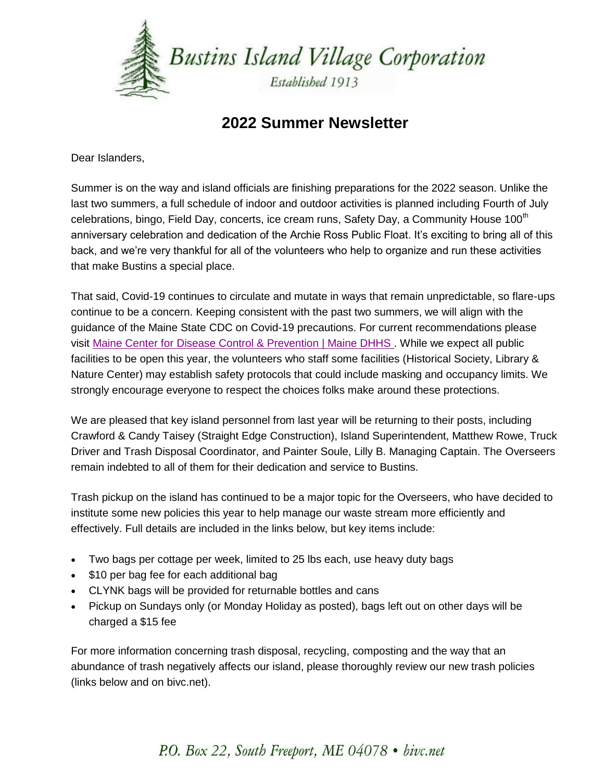

### **2022 Summer Newsletter**

Dear Islanders,

Summer is on the way and island officials are finishing preparations for the 2022 season. Unlike the last two summers, a full schedule of indoor and outdoor activities is planned including Fourth of July celebrations, bingo, Field Day, concerts, ice cream runs, Safety Day, a Community House 100<sup>th</sup> anniversary celebration and dedication of the Archie Ross Public Float. It's exciting to bring all of this back, and we're very thankful for all of the volunteers who help to organize and run these activities that make Bustins a special place.

That said, Covid-19 continues to circulate and mutate in ways that remain unpredictable, so flare-ups continue to be a concern. Keeping consistent with the past two summers, we will align with the guidance of the Maine State CDC on Covid-19 precautions. For current recommendations please visit [Maine Center for Disease Control & Prevention | Maine DHHS](https://click.mlsend.com/link/c/YT0xOTQ4ODY2MjU5ODM5ODgzMjE2JmM9ZDBkOSZlPTE5MjgmYj05Njg3ODYwNTMmZD1qM2oxcjVz.HybfSfIN3rOV3Hcw-DtHv2-i36cpmOOq97ka8J59zqY) . While we expect all public facilities to be open this year, the volunteers who staff some facilities (Historical Society, Library & Nature Center) may establish safety protocols that could include masking and occupancy limits. We strongly encourage everyone to respect the choices folks make around these protections.

We are pleased that key island personnel from last year will be returning to their posts, including Crawford & Candy Taisey (Straight Edge Construction), Island Superintendent, Matthew Rowe, Truck Driver and Trash Disposal Coordinator, and Painter Soule, Lilly B. Managing Captain. The Overseers remain indebted to all of them for their dedication and service to Bustins.

Trash pickup on the island has continued to be a major topic for the Overseers, who have decided to institute some new policies this year to help manage our waste stream more efficiently and effectively. Full details are included in the links below, but key items include:

- Two bags per cottage per week, limited to 25 lbs each, use heavy duty bags
- \$10 per bag fee for each additional bag
- CLYNK bags will be provided for returnable bottles and cans
- Pickup on Sundays only (or Monday Holiday as posted), bags left out on other days will be charged a \$15 fee

For more information concerning trash disposal, recycling, composting and the way that an abundance of trash negatively affects our island, please thoroughly review our new trash policies (links below and on bivc.net).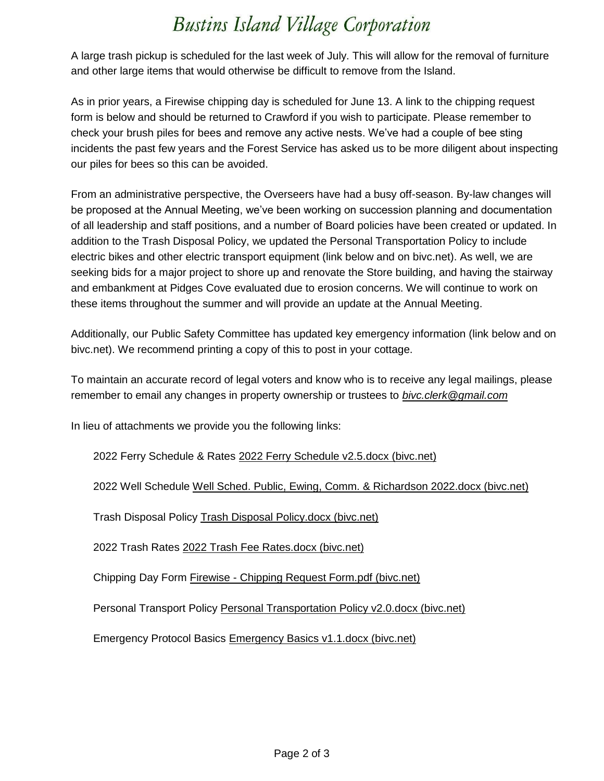## **Bustins Island Village Corporation**

A large trash pickup is scheduled for the last week of July. This will allow for the removal of furniture and other large items that would otherwise be difficult to remove from the Island.

As in prior years, a Firewise chipping day is scheduled for June 13. A link to the chipping request form is below and should be returned to Crawford if you wish to participate. Please remember to check your brush piles for bees and remove any active nests. We've had a couple of bee sting incidents the past few years and the Forest Service has asked us to be more diligent about inspecting our piles for bees so this can be avoided.

From an administrative perspective, the Overseers have had a busy off-season. By-law changes will be proposed at the Annual Meeting, we've been working on succession planning and documentation of all leadership and staff positions, and a number of Board policies have been created or updated. In addition to the Trash Disposal Policy, we updated the Personal Transportation Policy to include electric bikes and other electric transport equipment (link below and on bivc.net). As well, we are seeking bids for a major project to shore up and renovate the Store building, and having the stairway and embankment at Pidges Cove evaluated due to erosion concerns. We will continue to work on these items throughout the summer and will provide an update at the Annual Meeting.

Additionally, our Public Safety Committee has updated key emergency information (link below and on bivc.net). We recommend printing a copy of this to post in your cottage.

To maintain an accurate record of legal voters and know who is to receive any legal mailings, please remember to email any changes in property ownership or trustees to *[bivc.clerk@gmail.com](mailto:bivc.clerk@gmail.com)*

In lieu of attachments we provide you the following links:

2022 Ferry Schedule & Rates [2022 Ferry Schedule v2.5.docx \(bivc.net\)](https://click.mlsend.com/link/c/YT0xOTQ4ODY2MjU5ODM5ODgzMjE2JmM9ZDBkOSZlPTE5MjgmYj05Njg3ODYwNTQmZD1kMnI1cTBr.N-5-hiJOj1VOQ5ewOjWWcHspOSnl1mlM-zMErDbRTAg)

2022 Well Schedule [Well Sched. Public, Ewing, Comm. & Richardson 2022.docx \(bivc.net\)](https://click.mlsend.com/link/c/YT0xOTQ4ODY2MjU5ODM5ODgzMjE2JmM9ZDBkOSZlPTE5MjgmYj05Njg3ODYwNTUmZD14NWQzcjBw.h6_6-Mxpve4TlNCa66r9xq7pIkJbNftvlCO65zOa8EI)

Trash Disposal Policy [Trash Disposal Policy.docx \(bivc.net\)](https://click.mlsend.com/link/c/YT0xOTQ4ODY2MjU5ODM5ODgzMjE2JmM9ZDBkOSZlPTE5MjgmYj05Njg3ODYwNTYmZD1rM28ycjBq.tzqWli_Amti5yrSA3PMhIppcByonJv4CPtwoxj4oZLg)

2022 Trash Rates [2022 Trash Fee Rates.docx \(bivc.net\)](https://click.mlsend.com/link/c/YT0xOTQ4ODY2MjU5ODM5ODgzMjE2JmM9ZDBkOSZlPTE5MjgmYj05Njg3ODYwNTcmZD1sNXo1ZjV2.fawXNyt_RqAzB4orX9K-VWkKSUu1AUb_Yz_ZtPEwqvw)

Chipping Day Form Firewise - [Chipping Request Form.pdf \(bivc.net\)](https://click.mlsend.com/link/c/YT0xOTQ4ODY2MjU5ODM5ODgzMjE2JmM9ZDBkOSZlPTE5MjgmYj05Njg3ODYwNTgmZD1qOW83YTdw.S4bwjeLy0eCzQcm5kNASONaeVbu3BhmPVx-c3kmUlsk)

Personal Transport Policy [Personal Transportation Policy v2.0.docx \(bivc.net\)](https://click.mlsend.com/link/c/YT0xOTQ4ODY2MjU5ODM5ODgzMjE2JmM9ZDBkOSZlPTE5MjgmYj05Njg3ODYwNjImZD1uM3Ixczdr.vMfkPQJNohU-9E66e3QyYxEazyU4FZFieqNFw76-tKo)

Emergency Protocol Basics [Emergency Basics v1.1.docx \(bivc.net\)](https://click.mlsend.com/link/c/YT0xOTQ4ODY2MjU5ODM5ODgzMjE2JmM9ZDBkOSZlPTE5MjgmYj05Njg3ODYwNjYmZD15NGI1bzBn.BYBcxO1Oe8H6ktH3Cl5ya-QPA5PakQ4-zt17Z4Bt7Jg)